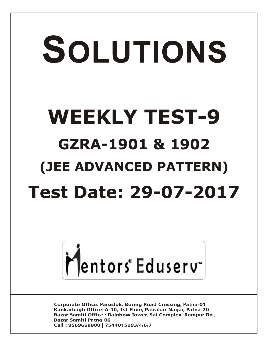# SOLUTIONS **WEEKLY TEST-9 GZRA-1901 & 1902 (JEE ADVANCED PATTERN) Test Date: 29-07-2017**



**Corporate Office: Paruslok, Boring Road Crossing, Patna-01** Kankarbagh Office: A-10, 1st Floor, Patrakar Nagar, Patna-20 Bazar Samiti Office: Rainbow Tower, Sai Complex, Rampur Rd., **Bazar Samiti Patna-06** Call: 9569668800 | 7544015993/4/6/7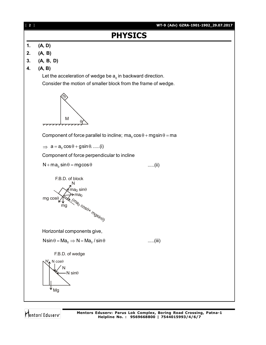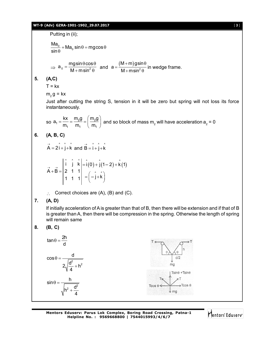## **WT-9 (Adv) GZRA-1901-1902\_29.07.2017** [ **3** ]

Putting in (ii);

$$
\frac{\text{Ma}_0}{\sin \theta} + \text{Ma}_0 \sin \theta = \text{mg}\cos \theta
$$

$$
\Rightarrow a_0 = \frac{mg\sin\theta\cos\theta}{M + m\sin^2\theta} \text{ and } a = \frac{(M + m)gsin\theta}{M + m\sin^2\theta} \text{ in wedge frame.}
$$

# **5. (A,C)**

 $T = kx$ 

 $m_2 g = kx$ 

Just after cutting the string S, tension in it will be zero but spring will not loss its force instantaneously.

so  $a_1 = \frac{Rx}{m} = \frac{m_2 y}{m} = \frac{m_2 y}{m}$ 1  $1\frac{11}{1}$   $1\frac{11}{1}$  $a_1 = \frac{kx}{k} = \frac{m_2 g}{m_2} = \frac{m_2 g}{m_2}$  $\mathsf{m_1} \quad \mathsf{m_1} \quad \mathsf{\setminus m}$  $\alpha = \frac{kx}{m_1} = \frac{m_2 g}{m_1} = \left(\frac{m_2 g}{m_1}\right)$  and so block of mass  $m_2$  will have acceleration  $a_2 = 0$ 

## **6. (A, B, C)**

$$
\vec{A} = 2\hat{i} + \hat{j} + \hat{k} \text{ and } \vec{B} = \hat{i} + \hat{j} + \hat{k}
$$

$$
\vec{A} + \vec{B} = \begin{vmatrix} \hat{i} & \hat{j} & \hat{k} \\ 2 & 1 & 1 \\ 1 & 1 & 1 \end{vmatrix} = \hat{i}(0) + \hat{j}(1-2) + \hat{k}(1)
$$

 $\therefore$  Correct choices are (A), (B) and (C).

# **7. (A, D)**

If initially acceleration of A is greater than that of B, then there will be extension and if that of B is greater than A, then there will be compression in the spring. Otherwise the length of spring will remain same

$$
8. \qquad (B, C)
$$

$$
\tan \theta = \frac{2h}{d}
$$
\n
$$
\cos \theta = \frac{d}{2\sqrt{\frac{d^{2}}{4} + h^{2}}}
$$
\n
$$
\sin \theta = \frac{h}{\sqrt{h^{2} + \frac{d^{2}}{4}}}
$$
\n
$$
T \Leftrightarrow \sqrt{\frac{h}{\theta} \sqrt{\frac{d^{2}}{d^{2}}}} = \frac{1}{\sqrt{\frac{1}{2} \cdot \frac{1}{d^{2}}}} = \frac{1}{\sqrt{\frac{1}{2} \cdot \frac{1}{d^{2}}}} = \frac{1}{\sqrt{\frac{1}{2} \cdot \frac{1}{d^{2}}}} = \frac{1}{\sqrt{\frac{1}{2} \cdot \frac{1}{d^{2}}}} = \frac{1}{\sqrt{\frac{1}{2} \cdot \frac{1}{d^{2}}}} = \frac{1}{\sqrt{\frac{1}{2} \cdot \frac{1}{d^{2}}}} = \frac{1}{\sqrt{\frac{1}{2} \cdot \frac{1}{d^{2}}}} = \frac{1}{\sqrt{\frac{1}{2} \cdot \frac{1}{d^{2}}}} = \frac{1}{\sqrt{\frac{1}{2} \cdot \frac{1}{d^{2}}}} = \frac{1}{\sqrt{\frac{1}{2} \cdot \frac{1}{d^{2}}}} = \frac{1}{\sqrt{\frac{1}{2} \cdot \frac{1}{d^{2}}}} = \frac{1}{\sqrt{\frac{1}{2} \cdot \frac{1}{d^{2}}}} = \frac{1}{\sqrt{\frac{1}{2} \cdot \frac{1}{d^{2}}}} = \frac{1}{\sqrt{\frac{1}{2} \cdot \frac{1}{d^{2}}}} = \frac{1}{\sqrt{\frac{1}{2} \cdot \frac{1}{d^{2}}}} = \frac{1}{\sqrt{\frac{1}{2} \cdot \frac{1}{d^{2}}}} = \frac{1}{\sqrt{\frac{1}{2} \cdot \frac{1}{d^{2}}}} = \frac{1}{\sqrt{\frac{1}{2} \cdot \frac{1}{d^{2}}}} = \frac{1}{\sqrt{\frac{1}{2} \cdot \frac{1}{d^{2}}}} = \frac{1}{\sqrt{\frac{1}{2} \cdot \frac{1}{d^{2}}}} = \frac{1}{\sqrt{\frac{1}{2} \cdot \frac{1}{d^{2}}}} = \frac{1}{\sqrt{\frac{1}{2} \cdot \frac{1}{d^{2}}}} = \frac{1}{\sqrt{\frac{1}{2} \cdot \frac{1}{d^{2}}}} = \frac{1}{\sqrt{\frac{1
$$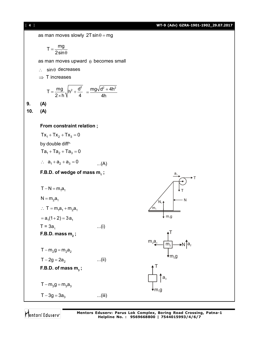

Mentors Eduserv

**Mentors Eduserv: Parus Lok Complex, Boring Road Crossing, Patna-1 Helpline No. : 9569668800 | 7544015993/4/6/7**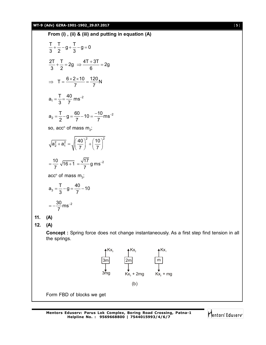## **WT-9 (Adv) GZRA-1901-1902\_29.07.2017** [ **5** ]

From (i), (ii) & (iii) and putting in equation (A)  
\n
$$
\frac{T}{3} + \frac{T}{2} - g + \frac{T}{3} - g = 0
$$
\n
$$
\frac{2T}{3} + \frac{T}{2} = 2g \Rightarrow \frac{4T + 3T}{6} = 2g
$$
\n
$$
\Rightarrow T = \frac{6 \times 2 \times 10}{7} = \frac{120}{7} N
$$
\n
$$
a_1 = \frac{T}{3} = \frac{40}{7} ms^{-2}
$$
\n
$$
a_2 = \frac{T}{2} - g = \frac{60}{7} - 10 = \frac{-10}{7} ms^{-2}
$$
\nso, acc<sup>n</sup> of mass m<sub>2</sub>:\n
$$
\sqrt{a_2^2 + a_1^2} = \sqrt{\left(\frac{40}{7}\right)^2 + \left(\frac{10}{7}\right)^2}
$$
\n
$$
= \frac{10}{7} \sqrt{16 + 1} = \frac{\sqrt{17}}{7} g ms^{-2}
$$
\nacc<sup>n</sup> of of mass m<sub>3</sub>:\n
$$
a_3 = \frac{T}{3} - g = \frac{40}{7} - 10
$$
\n
$$
= -\frac{30}{7} ms^{-2}
$$
\n11. (A)  
\n12. (A)  
\n**Concept :** Spring force does not change instantaneously. As a first step find tension in all the springs.



Form FBD of blocks we get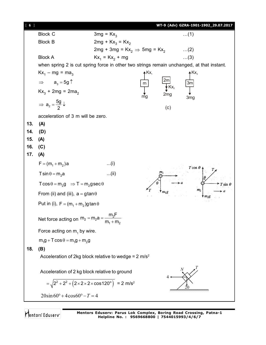| [6] |                                                                                                                         |                                           |       |                       | WT-9 (Adv) GZRA-1901-1902_29.07.2017 |
|-----|-------------------------------------------------------------------------------------------------------------------------|-------------------------------------------|-------|-----------------------|--------------------------------------|
|     | <b>Block C</b>                                                                                                          | $3mg = Kx_3$                              |       |                       | $\dots(1)$                           |
|     | <b>Block B</b>                                                                                                          | $2mg + Kx_3 = Kx_2$                       |       |                       |                                      |
|     |                                                                                                                         | 2mg + 3mg = $Kx_2 \Rightarrow 5mg = Kx_2$ |       |                       | $\dots(2)$                           |
|     | <b>Block A</b>                                                                                                          | $Kx_1 = Kx_2 + mg$                        |       |                       | $\dots(3)$                           |
|     | when spring 2 is cut spring force in other two strings remain unchanged, at that instant.                               |                                           |       |                       |                                      |
|     | $Kx_1 - mg = ma_3$                                                                                                      |                                           | 4 Kx, |                       | $A Kx_3$                             |
|     | $a_3 = 5g \uparrow$<br>$\Rightarrow$                                                                                    |                                           | m     | zm<br>$\mathsf{Kx}_3$ | 3m                                   |
|     | $Kx_3$ + 2mg = 2ma <sub>2</sub>                                                                                         |                                           | mg    | 2mg                   | 3 <sub>mg</sub>                      |
|     | $\Rightarrow$ a <sub>2</sub> = $\frac{5g}{2}$ $\downarrow$                                                              |                                           |       | (c)                   |                                      |
|     | acceleration of 3 m will be zero.                                                                                       |                                           |       |                       |                                      |
| 13. | (A)                                                                                                                     |                                           |       |                       |                                      |
| 14. | (D)                                                                                                                     |                                           |       |                       |                                      |
| 15. | (A)                                                                                                                     |                                           |       |                       |                                      |
| 16. | (C)                                                                                                                     |                                           |       |                       |                                      |
| 17. | (A)                                                                                                                     |                                           |       |                       |                                      |
|     | $F = (m_1 + m_2)a$                                                                                                      | (i)                                       |       |                       | $T\cos\theta$                        |
|     | $T \sin \theta = m_2 a$                                                                                                 | (ii)                                      |       |                       |                                      |
|     | $T\cos\theta = m_2 g \Rightarrow T = m_2 g \sec\theta$                                                                  |                                           |       |                       | $T \sin \theta$                      |
|     | From (ii) and (iii), $a = g \tan \theta$                                                                                |                                           |       |                       | m <sub>2</sub>                       |
|     | Put in (i), $F = (m_1 + m_2)g \tan \theta$                                                                              |                                           |       |                       |                                      |
|     | $m_2$<br>Net force acting on $m_2 = m_2 a = \frac{1}{r}$<br>$m_1 + m_2$<br>Force acting on $m_1$ by wire.               |                                           |       |                       |                                      |
|     |                                                                                                                         |                                           |       |                       |                                      |
|     | $m_1g + T\cos\theta = m_1g + m_2g$                                                                                      |                                           |       |                       |                                      |
| 18. | (B)<br>Acceleration of 2kg block relative to wedge = $2 \text{ m/s}^2$<br>Acceleration of 2 kg block relative to ground |                                           |       |                       |                                      |
|     |                                                                                                                         |                                           |       |                       |                                      |
|     |                                                                                                                         |                                           |       |                       |                                      |
|     | $=\sqrt{2^2+2^2+(2\times2\times2\times\cos 120^\circ)}$ = 2 m/s <sup>2</sup>                                            |                                           |       |                       | ,,,,,,,,,,,,,,,,,,,,,,,,             |
|     | $20\sin 60^\circ + 4\cos 60^\circ - T = 4$                                                                              |                                           |       |                       |                                      |

Mentors<sup>®</sup> Eduserv<sup>®</sup>

**Mentors Eduserv: Parus Lok Complex, Boring Road Crossing, Patna-1 Helpline No. : 9569668800 | 7544015993/4/6/7**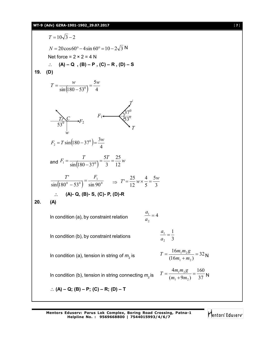$T = 10\sqrt{3} - 2$  $N = 20\cos 60^\circ - 4\sin 60^\circ = 10 - 2\sqrt{3} N$ Net force =  $2 \times 2 = 4$  N **(A) – Q , (B) – P , (C) – R , (D) – S 19. (D)**  $(180 - 53^{\circ})$  4 5  $\sin(180 - 53^{\circ})$  $T = \frac{w}{(100 - 50)^{2}} = \frac{5w}{4}$ - $=$ *T*  $53^{0}$  $\begin{array}{c} C \ C \ \end{array}$ **F**<sub>2</sub> *w T* í  $53^0$ *T*  $F_1 \leftarrow \bigotimes_{k=2}^{3} 7^0$  $(180 - 37^{\circ})$ 4  $s_2 = T \sin(180 - 37^\circ) = \frac{3}{2}$  $F_2 = T \sin(180 - 37^\circ) = \frac{3w}{4}$ and  $F_1 = \frac{T}{\sin(180 - 37^\circ)} = \frac{5T}{3} = \frac{25}{12}w$ 12 25 3 5  $s_1 = \frac{1}{\sin(180 - 37^\circ)} = \frac{54}{3} =$ - $=$  $(180^{\circ} - 53^{\circ})$  sin 90<sup>o</sup> 1  $\sin(180^\circ - 53^\circ)$  sin 90  $\frac{T'}{F} = \frac{F}{F}$  $\frac{1}{2-53^0}$  =  $\frac{1}{\sin 90^0}$   $\Rightarrow$   $T = \frac{1}{12} w \times \frac{1}{5} = \frac{1}{3}$ 5 5 4 12  $T' = \frac{25}{12} w \times \frac{4}{5} = \frac{5w}{2}$  **(A)- Q, (B)- S, (C)- P, (D)-R 20. (A)** In condition (a), by constraint relation 2  $\frac{1}{ }$  = *a a* In condition (b), by constraint relations 1 2  $\frac{1}{ }$  = *a a* In condition (a), tension in string of  $m<sub>2</sub>$  is is  $T = \frac{16m_1m_2g}{(16m_1 + m_2)} = 32$ 16  $1 + m_2$  $\frac{1^{11}25}{1}$  =  $\ddot{}$  $=$  $m_1 + m$  $T = \frac{16m_1m_2g}{(16m_1+m_2)} = 32N$ In condition (b), tension in string connecting  $m_2$  is  $I = \frac{I}{(m_1 + 9m_2)} = \frac{37}{37}$ 160  $(m_1 + 9m_2)$ 4  $1 + 2m_2$  $\frac{1^{1/25}}{2}$  =  $+$  $=$  $m_1 + 9m$  $T = \frac{4m_1m_2g}{(m_1+9m_2)} = \frac{160}{37}N$  **(A) – Q; (B) – P; (C) – R; (D) – T**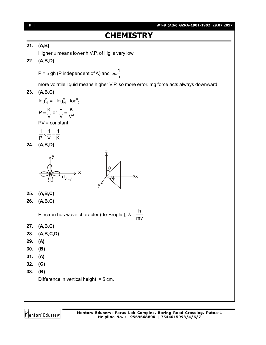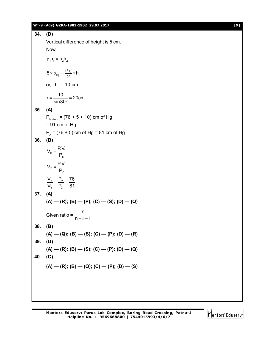## **WT-9 (Adv) GZRA-1901-1902\_29.07.2017** [ **9** ]

**34. (D)** Vertical difference of height is 5 cm. Now,  $\rho_1 h_1 = \rho_2 h_2$  $5 \times \rho_{Hg} = \frac{\rho_{Hg}}{2} \times h_2$  $\times \rho_{\text{Hg}} = \frac{\text{Hg}}{2} \times \text{h}$ or,  $h_2$  = 10 cm  $\frac{10}{200}$  = 20cm sin30º  $l = \frac{18}{1000} = 2$ **35. (A)**  $P_{\text{bottom}} = (76 + 5 + 10)$  cm of Hg  $= 91$  cm of Hg  $P_{\chi}$  = (76 + 5) cm of Hg = 81 cm of Hg **36. (B)**  $X = \frac{11^{v_1}}{R}$ X  $V_{x} = \frac{P_{1}V_{1}}{P_{2}}$ P  $=$  $Y = \frac{11^{v_1}}{R}$ Y  $V_{\gamma} = \frac{P_1 V_1}{P_2}$ P  $=$ X Y Y X  $\rm V_x$  P<sub>y</sub> 76  $\rm V_{\rm v}$   $\rm P_{\rm x}$  81  $=\frac{1}{R} = -$ **37. (A)**  $(A)$  —  $(R)$ ;  $(B)$  —  $(P)$ ;  $(C)$  —  $(S)$ ;  $(D)$  —  $(Q)$ Given ratio =  $\frac{1}{n-\ell-1}$  $\ell$  $\ell$ **38. (B)**  $(A)$  — (Q);  $(B)$  — (S);  $(C)$  — (P);  $(D)$  — (R) **39. (D)**  $(A)$  —  $(R)$ ;  $(B)$  —  $(S)$ ;  $(C)$  —  $(P)$ ;  $(D)$  —  $(Q)$ **40. (C)**  $(A)$  —  $(R)$ ;  $(B)$  —  $(Q)$ ;  $(C)$  —  $(P)$ ;  $(D)$  —  $(S)$ 

Mentors Eduserv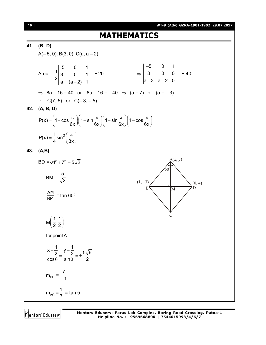# **MATHEMATICS**

## **41. (B, D)**  $A(-5, 0)$ ; B(3, 0); C(a, a - 2) Area = 5 0 1  $\frac{1}{2}$  3 0 1  $2|a (a-2) 1|$  $\overline{a}$  $\overline{a}$  $= \pm 20$   $\Rightarrow$ 5 0 1 8 0 0 a-3 a-2 O| --3 a-2  $= 140$  $\Rightarrow$  8a – 16 = 40 or 8a – 16 = – 40  $\Rightarrow$  (a = 7) or (a = – 3)  $\therefore$  C(7, 5) or C(-3, -5) **42. (A, B, D)**  $P(x) = 1 + \cos \frac{\pi}{2} \parallel 1 + \sin \frac{\pi}{2} \parallel 1 - \sin \frac{\pi}{2} \parallel 1 - \cos \frac{\pi}{2} \parallel 1$  $6x$   $\frac{\phantom{0}}{\phantom{0}}6x$   $\phantom{0}6x$   $\phantom{0}6x$   $\phantom{0}6x$  $=\left(1+\cos\frac{\pi}{6x}\right)\left(1+\sin\frac{\pi}{6x}\right)\left(1-\sin\frac{\pi}{6x}\right)\left(1-\cos\frac{\pi}{6x}\right)$  $P(x) = \frac{1}{2} \sin^2$ 4  $\sim$  (3x  $=\frac{1}{4}\sin^2\left(\frac{\pi}{3x}\right)$ **43. (A,B)**  $BD = \sqrt{1^2 + 7^2} = 5\sqrt{2}$ BM = 5 2  $\frac{\mathsf{AM}}{\mathsf{BM}}$  = tan 60°  $\subset$  $B \setminus W$  D  $(1, -3)$   $(0, 4)$  $60^\circ$  $A(x, y)$ M  $\frac{1}{2}, \frac{1}{2}$  $\left(\frac{1}{2},\frac{1}{2}\right)$ for point A  $\frac{x-\frac{1}{2}}{1} = \frac{y-\frac{1}{2}}{1} = +\frac{5\sqrt{6}}{1}$  $cos \theta$  sin $\theta$  2  $-\frac{1}{2}$  y- $=\frac{2}{1+\frac{1}{2}}=\pm \frac{1}{2}$  $\theta$  sin $\theta$  $m_{BD} =$ 7  $-1$  $m_{AC} = \frac{1}{7} = \tan \theta$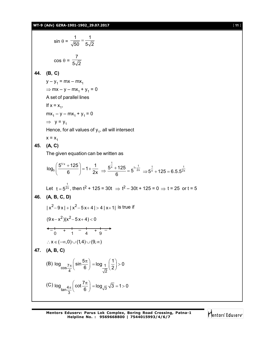$$
\sin \theta = \frac{1}{\sqrt{50}} = \frac{1}{5\sqrt{2}}
$$
\n
$$
\cos \theta = \frac{7}{5\sqrt{2}}
$$
\n44. **(B, C)**\n
$$
y - y_1 = mx - mx_1
$$
\n⇒  $mx - y - mx_1 + y_1 = 0$   
\nA set of parallel lines\nIf  $x = x_1$ ,  
\n $mx_1 - y - mx_1 + y_1 = 0$   
\n⇒  $y = y_1$   
\nHence, for all values of  $y_1$ , all will intersect\n
$$
x = x_1
$$
\n45. **(A, C)**\nThe given equation can be written as\n
$$
\log_8 \left( \frac{5^{1/x} + 125}{6} \right) = 1 + \frac{1}{2x} \Rightarrow \frac{5^{\frac{1}{x}} + 125}{6} = 5^{1 + \frac{1}{2x}} \Rightarrow 5^{\frac{1}{x}} + 125 = 6.5.5^{\frac{1}{2x}}
$$
\nLet  $t = 5^{\frac{1}{2x}}$ , then  $t^2 + 125 = 30t \Rightarrow t^2 - 30t + 125 = 0 \Rightarrow t = 25$  or  $t = 5$ \n46. **(A, B, C, D)**\n
$$
|x^2 - 9x| + |x^2 - 5x + 4| > 4 |x + 1| \text{ is true if}
$$
\n
$$
(9x - x^2)(x^2 - 5x + 4) < 0
$$
\n
$$
\left. \frac{1}{x} \left( \frac{-1}{x} \right) \left( \frac{1}{x} \right) \right| > 0
$$
\n47. **(A, B, C)**\n
$$
\cos \frac{7\pi}{4} \left( \sin \frac{5\pi}{6} \right) = \log \frac{1}{\sqrt{2}} \left( \frac{1}{2} \right) > 0
$$
\n
$$
\left( C \right) \log_{\tan \frac{4\pi}{3}} \left( \cot \frac{7\pi}{6} \right) = \log \frac{1}{\sqrt{3}} \sqrt{3} = 1 > 0
$$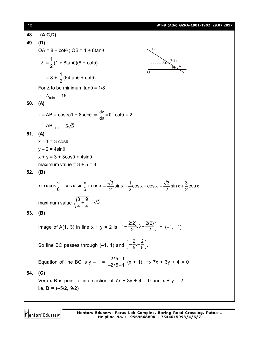# [ **12** ] **WT-9 (Adv) GZRA-1901-1902\_29.07.2017 48. (A,C,D) 49. (D)**  $OA = 8 + \cot\theta$ ;  $OB = 1 + 8\tan\theta$  $\triangle$  = 1  $\frac{1}{2}(1 + 8\tan\theta)(8 + \cot\theta)$ B A (8,1) O  $\theta$  $\ddot{\theta}$ = 8 + 1  $\frac{1}{2}$ (64tan $\theta$  + cot $\theta$ ) For  $\triangle$  to be minimum tan $\theta$  = 1/8  $\therefore$   $\Delta_{\text{min}}$  = 16 **50. (A)**  $z = AB = cosec\theta + 8sec\theta \Rightarrow \frac{dz}{d\theta} = 0$ ; cot $\theta = 2$  $\therefore$  AB<sub>min</sub> =  $5\sqrt{5}$ **51. (A)**  $x - 1 = 3 \cos \theta$  $y - 2 = 4\sin\theta$  $x + y = 3 + 3\cos\theta + 4\sin\theta$ maximum value =  $3 + 5 = 8$ **52. (B)** sin x cos  $\frac{\pi}{6}$  + cos x.sin  $\frac{\pi}{6}$  + cos x 6 6  $\frac{\pi}{6}$  + cos x.sin  $\frac{\pi}{6}$  + cos x =  $\frac{\sqrt{3}}{8}$  sin x +  $\frac{1}{8}$  cos x + cos x  $2 \frac{2}{2}$  $=\frac{\sqrt{3}}{2}$ sin x +  $\frac{1}{2}$ cos x + cos x =  $\frac{\sqrt{3}}{2}$ sin x +  $\frac{3}{2}$ cos x 2 2  $=\frac{\sqrt{6}}{2}$ sin x + maximum value  $\sqrt{\frac{3}{4} + \frac{9}{4}} = \sqrt{3}$ 4 4  $+\frac{6}{4}$  =  $\frac{1}{2}$ **53. (B)** Image of A(1, 3) in line  $x + y = 2$  is  $\left(1 - \frac{2(2)}{2}, 3 - \frac{2(2)}{2}\right) = (-1, 1)$ So line BC passes through (-1, 1) and  $\left(-\frac{2}{5}, -\frac{2}{5}\right)$ . Equation of line BC is  $y - 1 = \frac{-2}{-2/5}$  $\frac{-2/5 - 1}{-2/5 + 1}$  (x + 1)  $\Rightarrow$  7x + 3y + 4 = 0 **54. (C)** Vertex B is point of intersection of  $7x + 3y + 4 = 0$  and  $x + y = 2$ i.e.  $B = (-5/2, 9/2)$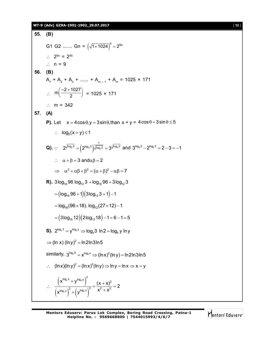## **WT-9 (Adv) GZRA-1901-1902\_29.07.2017** [ **13** ]

**55. (B)** G1 G2 ....... Gn =  $(\sqrt{1 \times 1024})^n = 2^{5n}$  $\therefore$  2<sup>5n</sup> = 2<sup>45</sup>  $\therefore$  n = 9 **56. (B)**  $A_1 + A_2 + A_3 + \dots + A_{m-1} + A_m = 1025 \times 171$  $\mathcal{L}_{\bullet}$  $\left(-2+1027\right)$  $\left(\frac{\overline{a}}{2}\right)$  $m\left(\frac{-2+1027}{2}\right) = 1025 \times 171$  $\therefore$  m = 342 **57. (A) P).** Let  $x = 4\cos\theta$ ,  $y = 3\sin\theta$ , than  $x + y = 4\cos\theta + 3\sin\theta \le 5$  $\therefore$   $\log_5(x+y) \leq 1$ **Q).**  $\because$   $2^{\sqrt{\log_2 3}} = (2^{\log_2 3})^{\sqrt{\log_2 3}} = 3^{\sqrt{\log_3 3}}$ 1  $2^{\sqrt{\log_2 3}} = (2^{\log_2 3})^{\sqrt{\log_2 3}} = 3^{\sqrt{\log_3 2}}$  and  $3^{\log_3 2} - 2^{\log_2 3} = 2 - 3 = -1$  $\therefore$   $\alpha + \beta = 3$  and  $\alpha\beta = 2$  $\Rightarrow \alpha^2 + \alpha \beta + \beta^2 = (\alpha + \beta)^2 - \alpha \beta = 7$ **R).**  $3\log_{18} 96 \log_{12} 3 + \log_{18} 96 + 3\log_{12} 3$  $l = (log_{18} 96 + 1)(3log_{12} 3 + 1) - 1$  $=$  log<sub>18</sub> (96  $\times$  18). log<sub>12</sub> (27  $\times$  12) – 1  $= (3log_{18} 12) (2log_{12} 18) - 1 = 6 - 1 = 5$ **S).**  $2^{\log_x 3} = y^{\log_5 y} \Rightarrow \log_x 3 \ln 2 = \log_5 y \ln y$  $\Rightarrow$  (ln x) (lny) $^2$  = ln2ln3ln5 similarly,  $\,3^{\log_y 5} = \mathsf{x}^{\log_2 x} \Rightarrow \mathsf{(\ln x)}^2(\ln y)$  = ln2ln3ln5  $\therefore$  (ln x)(ln y)<sup>2</sup> = (ln x)<sup>2</sup>(ln y)  $\Rightarrow$  ln y = ln x  $\Rightarrow$  x = y  $\begin{pmatrix} x^{y} + y^{x+y} \end{pmatrix}$  $(X^{s,y}) + (Y^{s,y})$  $y^{\lambda}$   $\perp$   $y^{109}x$  $x \times 1$   $\perp$   $\sqrt{2}y$  $\left(\log_{y} x + \mathsf{y}^{\log_{x} y}\right)^{2}$  (x x)<sup>2</sup>  $\left(\frac{x^{log_y x} + y^{log_x y}}{log_y x}\right) = \frac{(x + x)^2}{x^2 + x^2} = 2$  $(x^{\log_{x} y})^{2} + (y^{\log_{y} x})^{2}$   $x^{2} + x^{2}$  $\therefore \frac{\left(x^{100y^{x}}+y^{100y^{y}}\right)}{x^{2}+y^{100y^{y}}}} = \frac{(x+x)^{2}}{x^{2}-y^{2}} = z$  $+\left(y^{log_{y} x}\right)^{2}$   $x^{2} +$ 

Mentors Eduserv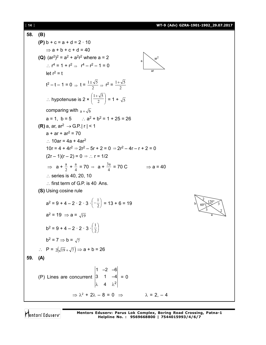[ **14** ] **WT-9 (Adv) GZRA-1901-1902\_29.07.2017**

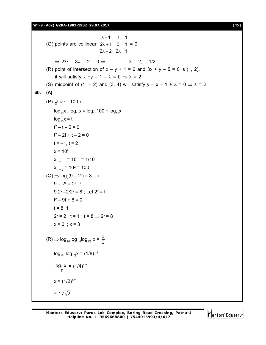**WT-9 (Adv) GZRA-1901-1902\_29.07.2017** [ **15** ]